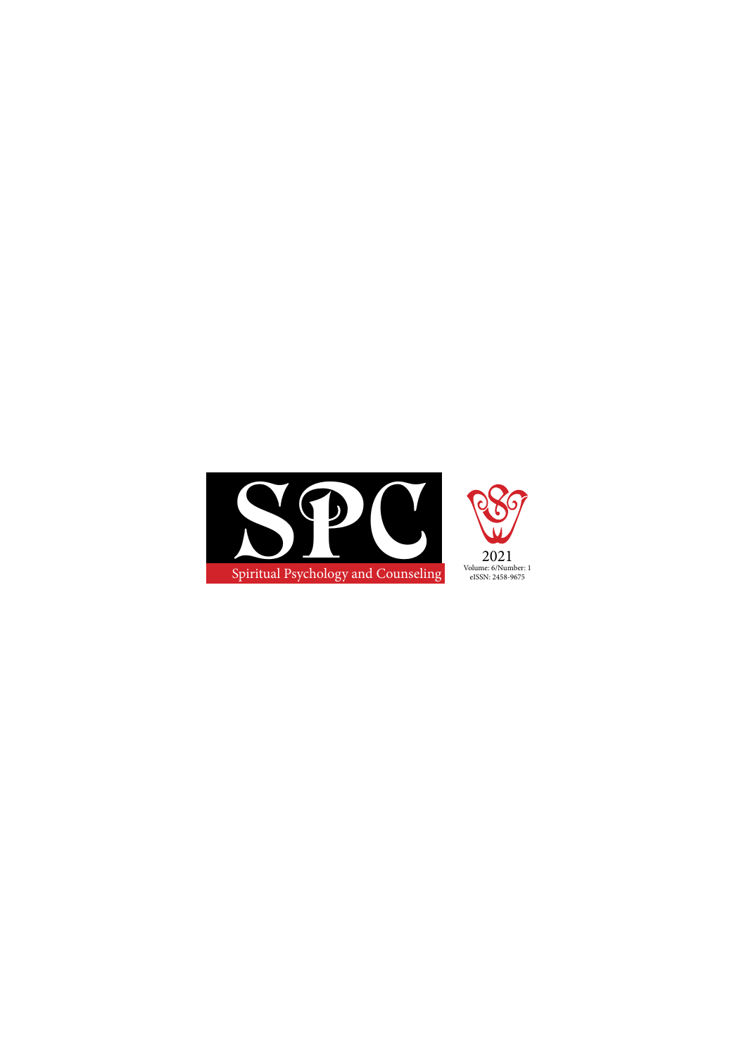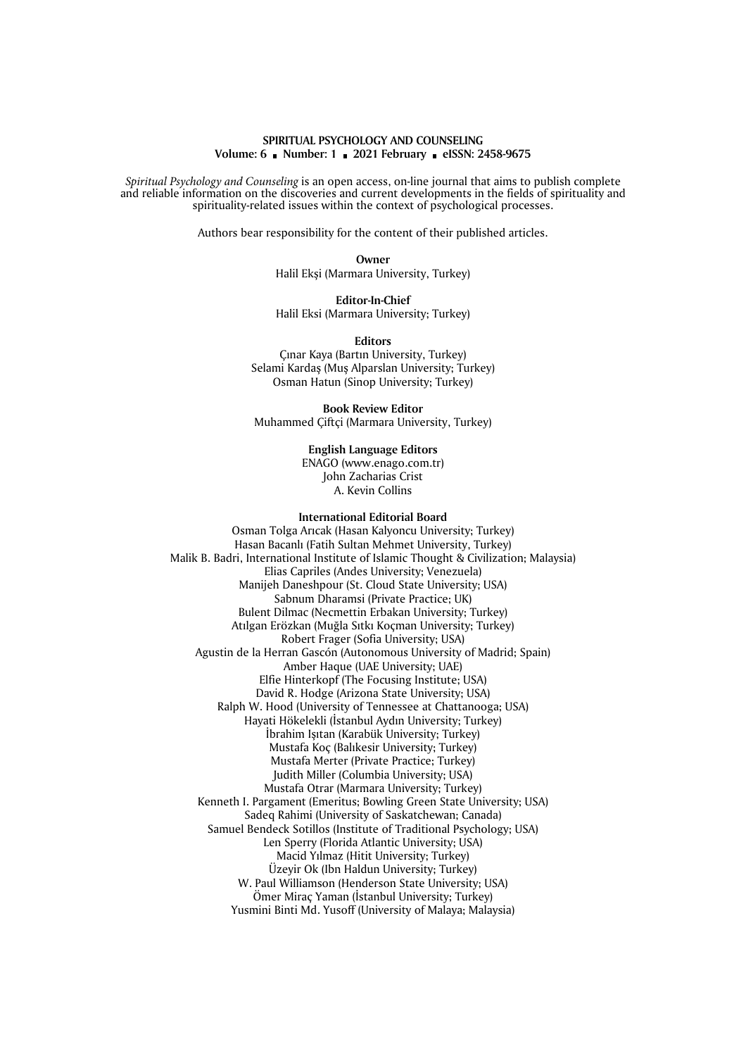## **SPIRITUAL PSYCHOLOGY AND COUNSELING Volume: 6 Number: 1 2021 February eISSN: 2458-9675**

*Sp*i*r*i*tual Psychology and Counsel*i*ng* is an open access, on-line journal that aims to publish complete and reliable information on the discoveries and current developments in the fields of spirituality and spirituality-related issues within the context of psychological processes.

Authors bear responsibility for the content of their published articles.

**Owner** Halil Ekşi (Marmara University, Turkey)

**Editor-In-Chief** Halil Eksi (Marmara University; Turkey)

**Editors**

Çınar Kaya (Bartın University, Turkey) Selami Kardaş (Muş Alparslan University; Turkey) Osman Hatun (Sinop University; Turkey)

**Book Review Editor** Muhammed Çiftçi (Marmara University, Turkey)

> **English Language Editors** ENAGO (www.enago.com.tr) John Zacharias Crist A. Kevin Collins

## **International Editorial Board**

Osman Tolga Arıcak (Hasan Kalyoncu University; Turkey) Hasan Bacanlı (Fatih Sultan Mehmet University, Turkey) Malik B. Badri, International Institute of Islamic Thought & Civilization; Malaysia) Elias Capriles (Andes University; Venezuela) Manijeh Daneshpour (St. Cloud State University; USA) Sabnum Dharamsi (Private Practice; UK) Bulent Dilmac (Necmettin Erbakan University; Turkey) Atılgan Erözkan (Muğla Sıtkı Koçman University; Turkey) Robert Frager (Sofia University; USA) Agustin de la Herran Gascón (Autonomous University of Madrid; Spain) Amber Haque (UAE University; UAE) Elfie Hinterkopf (The Focusing Institute; USA) David R. Hodge (Arizona State University; USA) Ralph W. Hood (University of Tennessee at Chattanooga; USA) Hayati Hökelekli (İstanbul Aydın University; Turkey) İbrahim Işıtan (Karabük University; Turkey) Mustafa Koç (Balıkesir University; Turkey) Mustafa Merter (Private Practice; Turkey) Judith Miller (Columbia University; USA) Mustafa Otrar (Marmara University; Turkey) Kenneth I. Pargament (Emeritus; Bowling Green State University; USA) Sadeq Rahimi (University of Saskatchewan; Canada) Samuel Bendeck Sotillos (Institute of Traditional Psychology; USA) Len Sperry (Florida Atlantic University; USA) Macid Yılmaz (Hitit University; Turkey) Üzeyir Ok (Ibn Haldun University; Turkey) W. Paul Williamson (Henderson State University; USA) Ömer Miraç Yaman (İstanbul University; Turkey) Yusmini Binti Md. Yusoff (University of Malaya; Malaysia)